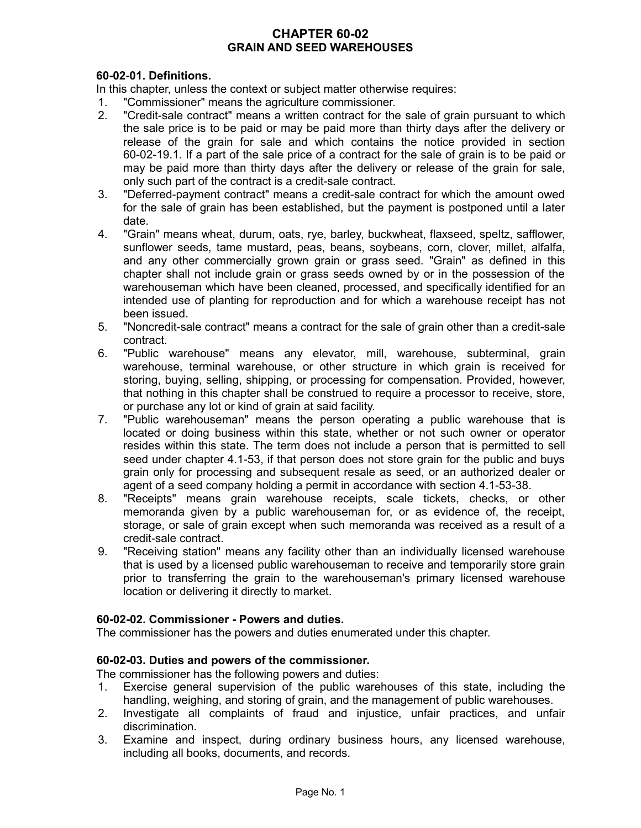# **CHAPTER 60-02 GRAIN AND SEED WAREHOUSES**

# **60-02-01. Definitions.**

In this chapter, unless the context or subject matter otherwise requires:

- 1. "Commissioner" means the agriculture commissioner.
- 2. "Credit-sale contract" means a written contract for the sale of grain pursuant to which the sale price is to be paid or may be paid more than thirty days after the delivery or release of the grain for sale and which contains the notice provided in section 60-02-19.1. If a part of the sale price of a contract for the sale of grain is to be paid or may be paid more than thirty days after the delivery or release of the grain for sale, only such part of the contract is a credit-sale contract.
- 3. "Deferred-payment contract" means a credit-sale contract for which the amount owed for the sale of grain has been established, but the payment is postponed until a later date.
- 4. "Grain" means wheat, durum, oats, rye, barley, buckwheat, flaxseed, speltz, safflower, sunflower seeds, tame mustard, peas, beans, soybeans, corn, clover, millet, alfalfa, and any other commercially grown grain or grass seed. "Grain" as defined in this chapter shall not include grain or grass seeds owned by or in the possession of the warehouseman which have been cleaned, processed, and specifically identified for an intended use of planting for reproduction and for which a warehouse receipt has not been issued.
- 5. "Noncredit-sale contract" means a contract for the sale of grain other than a credit-sale contract.
- 6. "Public warehouse" means any elevator, mill, warehouse, subterminal, grain warehouse, terminal warehouse, or other structure in which grain is received for storing, buying, selling, shipping, or processing for compensation. Provided, however, that nothing in this chapter shall be construed to require a processor to receive, store, or purchase any lot or kind of grain at said facility.
- 7. "Public warehouseman" means the person operating a public warehouse that is located or doing business within this state, whether or not such owner or operator resides within this state. The term does not include a person that is permitted to sell seed under chapter 4.1-53, if that person does not store grain for the public and buys grain only for processing and subsequent resale as seed, or an authorized dealer or agent of a seed company holding a permit in accordance with section 4.1-53-38.
- 8. "Receipts" means grain warehouse receipts, scale tickets, checks, or other memoranda given by a public warehouseman for, or as evidence of, the receipt, storage, or sale of grain except when such memoranda was received as a result of a credit-sale contract.
- 9. "Receiving station" means any facility other than an individually licensed warehouse that is used by a licensed public warehouseman to receive and temporarily store grain prior to transferring the grain to the warehouseman's primary licensed warehouse location or delivering it directly to market.

#### **60-02-02. Commissioner - Powers and duties.**

The commissioner has the powers and duties enumerated under this chapter.

#### **60-02-03. Duties and powers of the commissioner.**

The commissioner has the following powers and duties:

- 1. Exercise general supervision of the public warehouses of this state, including the handling, weighing, and storing of grain, and the management of public warehouses.
- 2. Investigate all complaints of fraud and injustice, unfair practices, and unfair discrimination.
- 3. Examine and inspect, during ordinary business hours, any licensed warehouse, including all books, documents, and records.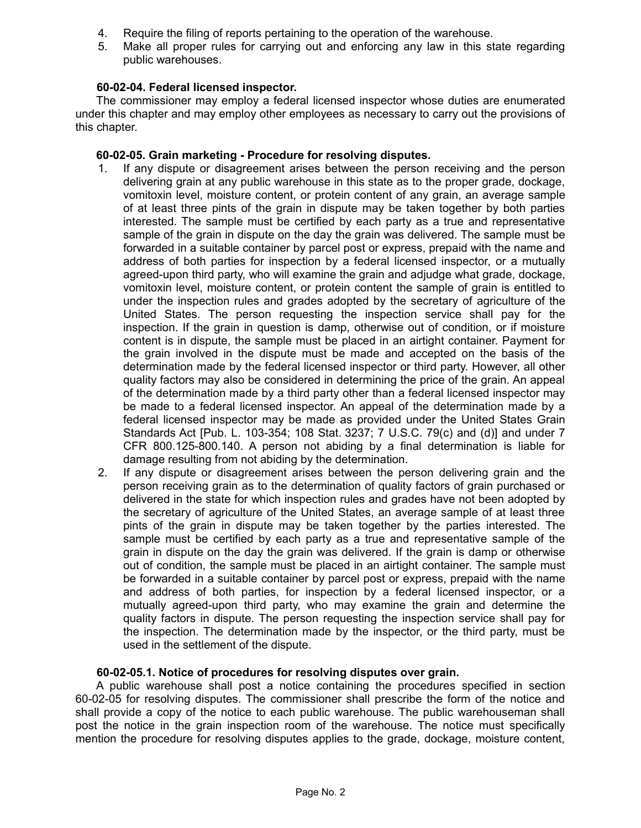- 4. Require the filing of reports pertaining to the operation of the warehouse.
- 5. Make all proper rules for carrying out and enforcing any law in this state regarding public warehouses.

# **60-02-04. Federal licensed inspector.**

The commissioner may employ a federal licensed inspector whose duties are enumerated under this chapter and may employ other employees as necessary to carry out the provisions of this chapter.

## **60-02-05. Grain marketing - Procedure for resolving disputes.**

- 1. If any dispute or disagreement arises between the person receiving and the person delivering grain at any public warehouse in this state as to the proper grade, dockage, vomitoxin level, moisture content, or protein content of any grain, an average sample of at least three pints of the grain in dispute may be taken together by both parties interested. The sample must be certified by each party as a true and representative sample of the grain in dispute on the day the grain was delivered. The sample must be forwarded in a suitable container by parcel post or express, prepaid with the name and address of both parties for inspection by a federal licensed inspector, or a mutually agreed-upon third party, who will examine the grain and adjudge what grade, dockage, vomitoxin level, moisture content, or protein content the sample of grain is entitled to under the inspection rules and grades adopted by the secretary of agriculture of the United States. The person requesting the inspection service shall pay for the inspection. If the grain in question is damp, otherwise out of condition, or if moisture content is in dispute, the sample must be placed in an airtight container. Payment for the grain involved in the dispute must be made and accepted on the basis of the determination made by the federal licensed inspector or third party. However, all other quality factors may also be considered in determining the price of the grain. An appeal of the determination made by a third party other than a federal licensed inspector may be made to a federal licensed inspector. An appeal of the determination made by a federal licensed inspector may be made as provided under the United States Grain Standards Act [Pub. L. 103-354; 108 Stat. 3237; 7 U.S.C. 79(c) and (d)] and under 7 CFR 800.125-800.140. A person not abiding by a final determination is liable for damage resulting from not abiding by the determination.
- 2. If any dispute or disagreement arises between the person delivering grain and the person receiving grain as to the determination of quality factors of grain purchased or delivered in the state for which inspection rules and grades have not been adopted by the secretary of agriculture of the United States, an average sample of at least three pints of the grain in dispute may be taken together by the parties interested. The sample must be certified by each party as a true and representative sample of the grain in dispute on the day the grain was delivered. If the grain is damp or otherwise out of condition, the sample must be placed in an airtight container. The sample must be forwarded in a suitable container by parcel post or express, prepaid with the name and address of both parties, for inspection by a federal licensed inspector, or a mutually agreed-upon third party, who may examine the grain and determine the quality factors in dispute. The person requesting the inspection service shall pay for the inspection. The determination made by the inspector, or the third party, must be used in the settlement of the dispute.

#### **60-02-05.1. Notice of procedures for resolving disputes over grain.**

A public warehouse shall post a notice containing the procedures specified in section 60-02-05 for resolving disputes. The commissioner shall prescribe the form of the notice and shall provide a copy of the notice to each public warehouse. The public warehouseman shall post the notice in the grain inspection room of the warehouse. The notice must specifically mention the procedure for resolving disputes applies to the grade, dockage, moisture content,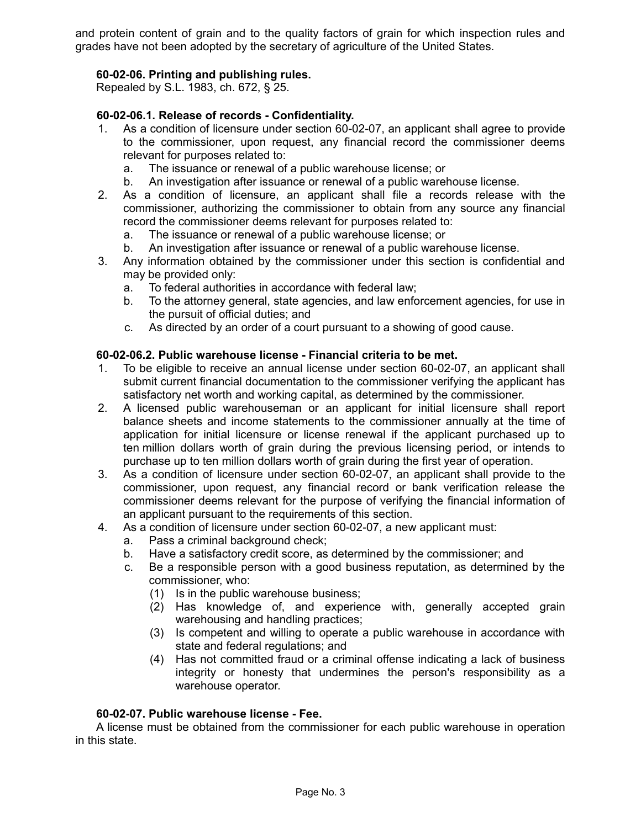and protein content of grain and to the quality factors of grain for which inspection rules and grades have not been adopted by the secretary of agriculture of the United States.

# **60-02-06. Printing and publishing rules.**

Repealed by S.L. 1983, ch. 672, § 25.

## **60-02-06.1. Release of records - Confidentiality.**

- 1. As a condition of licensure under section 60-02-07, an applicant shall agree to provide to the commissioner, upon request, any financial record the commissioner deems relevant for purposes related to:
	- a. The issuance or renewal of a public warehouse license; or
	- b. An investigation after issuance or renewal of a public warehouse license.
- 2. As a condition of licensure, an applicant shall file a records release with the commissioner, authorizing the commissioner to obtain from any source any financial record the commissioner deems relevant for purposes related to:
	- a. The issuance or renewal of a public warehouse license; or
	- b. An investigation after issuance or renewal of a public warehouse license.
- 3. Any information obtained by the commissioner under this section is confidential and may be provided only:
	- a. To federal authorities in accordance with federal law;
	- b. To the attorney general, state agencies, and law enforcement agencies, for use in the pursuit of official duties; and
	- c. As directed by an order of a court pursuant to a showing of good cause.

## **60-02-06.2. Public warehouse license - Financial criteria to be met.**

- 1. To be eligible to receive an annual license under section 60-02-07, an applicant shall submit current financial documentation to the commissioner verifying the applicant has satisfactory net worth and working capital, as determined by the commissioner.
- 2. A licensed public warehouseman or an applicant for initial licensure shall report balance sheets and income statements to the commissioner annually at the time of application for initial licensure or license renewal if the applicant purchased up to ten million dollars worth of grain during the previous licensing period, or intends to purchase up to ten million dollars worth of grain during the first year of operation.
- 3. As a condition of licensure under section 60-02-07, an applicant shall provide to the commissioner, upon request, any financial record or bank verification release the commissioner deems relevant for the purpose of verifying the financial information of an applicant pursuant to the requirements of this section.
- 4. As a condition of licensure under section 60-02-07, a new applicant must:
	- a. Pass a criminal background check;
	- b. Have a satisfactory credit score, as determined by the commissioner; and
	- c. Be a responsible person with a good business reputation, as determined by the commissioner, who:
		- (1) Is in the public warehouse business;
		- (2) Has knowledge of, and experience with, generally accepted grain warehousing and handling practices;
		- (3) Is competent and willing to operate a public warehouse in accordance with state and federal regulations; and
		- (4) Has not committed fraud or a criminal offense indicating a lack of business integrity or honesty that undermines the person's responsibility as a warehouse operator.

# **60-02-07. Public warehouse license - Fee.**

A license must be obtained from the commissioner for each public warehouse in operation in this state.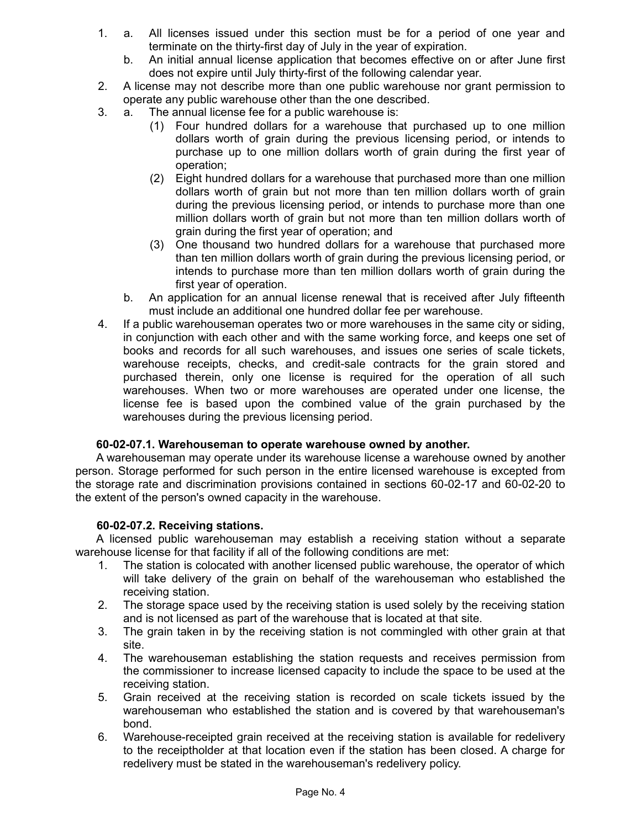- 1. a. All licenses issued under this section must be for a period of one year and terminate on the thirty-first day of July in the year of expiration.
	- b. An initial annual license application that becomes effective on or after June first does not expire until July thirty-first of the following calendar year.
- 2. A license may not describe more than one public warehouse nor grant permission to operate any public warehouse other than the one described.
- 3. a. The annual license fee for a public warehouse is:
	- (1) Four hundred dollars for a warehouse that purchased up to one million dollars worth of grain during the previous licensing period, or intends to purchase up to one million dollars worth of grain during the first year of operation;
	- (2) Eight hundred dollars for a warehouse that purchased more than one million dollars worth of grain but not more than ten million dollars worth of grain during the previous licensing period, or intends to purchase more than one million dollars worth of grain but not more than ten million dollars worth of grain during the first year of operation; and
	- (3) One thousand two hundred dollars for a warehouse that purchased more than ten million dollars worth of grain during the previous licensing period, or intends to purchase more than ten million dollars worth of grain during the first year of operation.
	- b. An application for an annual license renewal that is received after July fifteenth must include an additional one hundred dollar fee per warehouse.
- 4. If a public warehouseman operates two or more warehouses in the same city or siding, in conjunction with each other and with the same working force, and keeps one set of books and records for all such warehouses, and issues one series of scale tickets, warehouse receipts, checks, and credit-sale contracts for the grain stored and purchased therein, only one license is required for the operation of all such warehouses. When two or more warehouses are operated under one license, the license fee is based upon the combined value of the grain purchased by the warehouses during the previous licensing period.

# **60-02-07.1. Warehouseman to operate warehouse owned by another.**

A warehouseman may operate under its warehouse license a warehouse owned by another person. Storage performed for such person in the entire licensed warehouse is excepted from the storage rate and discrimination provisions contained in sections 60-02-17 and 60-02-20 to the extent of the person's owned capacity in the warehouse.

# **60-02-07.2. Receiving stations.**

A licensed public warehouseman may establish a receiving station without a separate warehouse license for that facility if all of the following conditions are met:

- 1. The station is colocated with another licensed public warehouse, the operator of which will take delivery of the grain on behalf of the warehouseman who established the receiving station.
- 2. The storage space used by the receiving station is used solely by the receiving station and is not licensed as part of the warehouse that is located at that site.
- 3. The grain taken in by the receiving station is not commingled with other grain at that site.
- 4. The warehouseman establishing the station requests and receives permission from the commissioner to increase licensed capacity to include the space to be used at the receiving station.
- 5. Grain received at the receiving station is recorded on scale tickets issued by the warehouseman who established the station and is covered by that warehouseman's bond.
- 6. Warehouse-receipted grain received at the receiving station is available for redelivery to the receiptholder at that location even if the station has been closed. A charge for redelivery must be stated in the warehouseman's redelivery policy.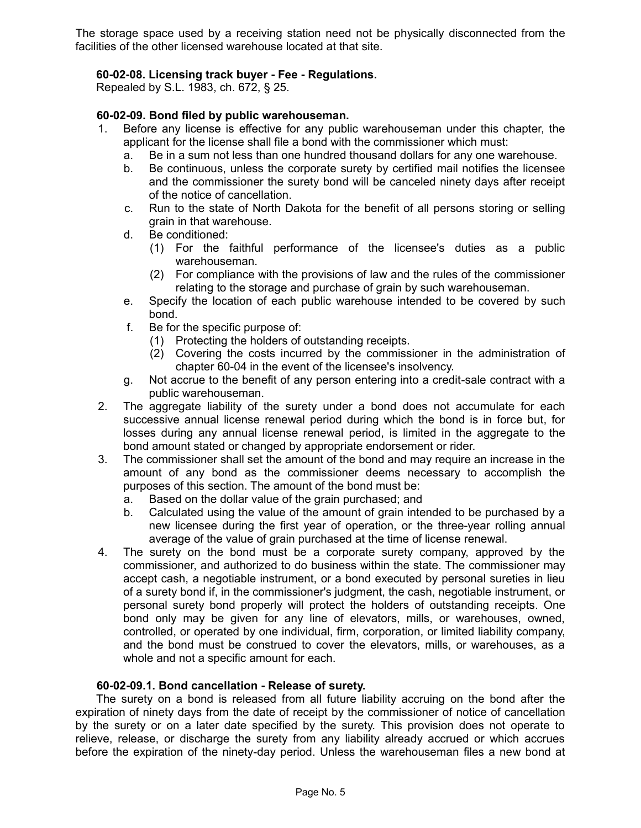The storage space used by a receiving station need not be physically disconnected from the facilities of the other licensed warehouse located at that site.

## **60-02-08. Licensing track buyer - Fee - Regulations.**

Repealed by S.L. 1983, ch. 672, § 25.

## **60-02-09. Bond filed by public warehouseman.**

- 1. Before any license is effective for any public warehouseman under this chapter, the applicant for the license shall file a bond with the commissioner which must:
	- a. Be in a sum not less than one hundred thousand dollars for any one warehouse.
	- b. Be continuous, unless the corporate surety by certified mail notifies the licensee and the commissioner the surety bond will be canceled ninety days after receipt of the notice of cancellation.
	- c. Run to the state of North Dakota for the benefit of all persons storing or selling grain in that warehouse.
	- d. Be conditioned:
		- (1) For the faithful performance of the licensee's duties as a public warehouseman.
		- (2) For compliance with the provisions of law and the rules of the commissioner relating to the storage and purchase of grain by such warehouseman.
	- e. Specify the location of each public warehouse intended to be covered by such bond.
	- f. Be for the specific purpose of:
		- (1) Protecting the holders of outstanding receipts.
		- (2) Covering the costs incurred by the commissioner in the administration of chapter 60-04 in the event of the licensee's insolvency.
	- g. Not accrue to the benefit of any person entering into a credit-sale contract with a public warehouseman.
- 2. The aggregate liability of the surety under a bond does not accumulate for each successive annual license renewal period during which the bond is in force but, for losses during any annual license renewal period, is limited in the aggregate to the bond amount stated or changed by appropriate endorsement or rider.
- 3. The commissioner shall set the amount of the bond and may require an increase in the amount of any bond as the commissioner deems necessary to accomplish the purposes of this section. The amount of the bond must be:
	- a. Based on the dollar value of the grain purchased; and
	- b. Calculated using the value of the amount of grain intended to be purchased by a new licensee during the first year of operation, or the three-year rolling annual average of the value of grain purchased at the time of license renewal.
- 4. The surety on the bond must be a corporate surety company, approved by the commissioner, and authorized to do business within the state. The commissioner may accept cash, a negotiable instrument, or a bond executed by personal sureties in lieu of a surety bond if, in the commissioner's judgment, the cash, negotiable instrument, or personal surety bond properly will protect the holders of outstanding receipts. One bond only may be given for any line of elevators, mills, or warehouses, owned, controlled, or operated by one individual, firm, corporation, or limited liability company, and the bond must be construed to cover the elevators, mills, or warehouses, as a whole and not a specific amount for each.

### **60-02-09.1. Bond cancellation - Release of surety.**

The surety on a bond is released from all future liability accruing on the bond after the expiration of ninety days from the date of receipt by the commissioner of notice of cancellation by the surety or on a later date specified by the surety. This provision does not operate to relieve, release, or discharge the surety from any liability already accrued or which accrues before the expiration of the ninety-day period. Unless the warehouseman files a new bond at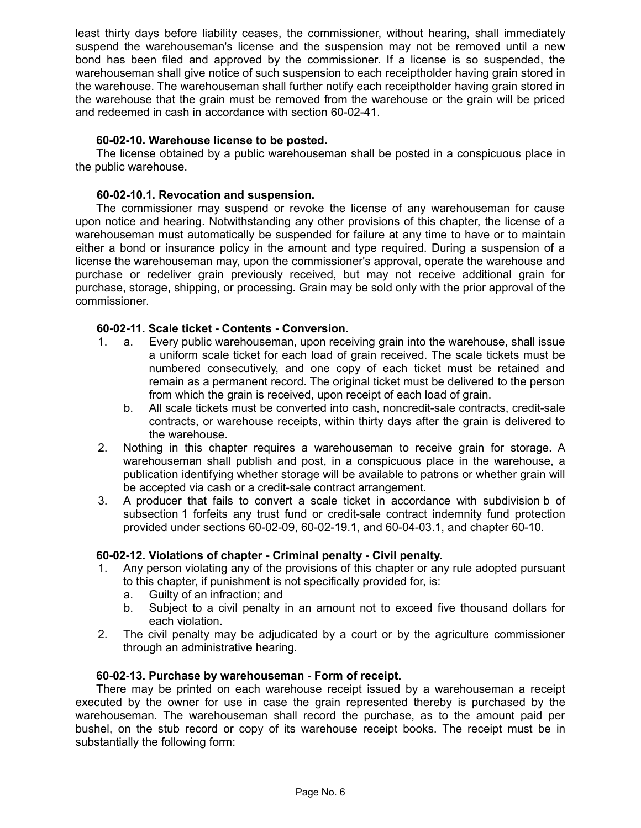least thirty days before liability ceases, the commissioner, without hearing, shall immediately suspend the warehouseman's license and the suspension may not be removed until a new bond has been filed and approved by the commissioner. If a license is so suspended, the warehouseman shall give notice of such suspension to each receiptholder having grain stored in the warehouse. The warehouseman shall further notify each receiptholder having grain stored in the warehouse that the grain must be removed from the warehouse or the grain will be priced and redeemed in cash in accordance with section 60-02-41.

## **60-02-10. Warehouse license to be posted.**

The license obtained by a public warehouseman shall be posted in a conspicuous place in the public warehouse.

## **60-02-10.1. Revocation and suspension.**

The commissioner may suspend or revoke the license of any warehouseman for cause upon notice and hearing. Notwithstanding any other provisions of this chapter, the license of a warehouseman must automatically be suspended for failure at any time to have or to maintain either a bond or insurance policy in the amount and type required. During a suspension of a license the warehouseman may, upon the commissioner's approval, operate the warehouse and purchase or redeliver grain previously received, but may not receive additional grain for purchase, storage, shipping, or processing. Grain may be sold only with the prior approval of the commissioner.

## **60-02-11. Scale ticket - Contents - Conversion.**

- 1. a. Every public warehouseman, upon receiving grain into the warehouse, shall issue a uniform scale ticket for each load of grain received. The scale tickets must be numbered consecutively, and one copy of each ticket must be retained and remain as a permanent record. The original ticket must be delivered to the person from which the grain is received, upon receipt of each load of grain.
	- b. All scale tickets must be converted into cash, noncredit-sale contracts, credit-sale contracts, or warehouse receipts, within thirty days after the grain is delivered to the warehouse.
- 2. Nothing in this chapter requires a warehouseman to receive grain for storage. A warehouseman shall publish and post, in a conspicuous place in the warehouse, a publication identifying whether storage will be available to patrons or whether grain will be accepted via cash or a credit-sale contract arrangement.
- 3. A producer that fails to convert a scale ticket in accordance with subdivision b of subsection 1 forfeits any trust fund or credit-sale contract indemnity fund protection provided under sections 60-02-09, 60-02-19.1, and 60-04-03.1, and chapter 60-10.

#### **60-02-12. Violations of chapter - Criminal penalty - Civil penalty.**

- 1. Any person violating any of the provisions of this chapter or any rule adopted pursuant to this chapter, if punishment is not specifically provided for, is:
	- a. Guilty of an infraction; and
	- b. Subject to a civil penalty in an amount not to exceed five thousand dollars for each violation.
- 2. The civil penalty may be adjudicated by a court or by the agriculture commissioner through an administrative hearing.

#### **60-02-13. Purchase by warehouseman - Form of receipt.**

There may be printed on each warehouse receipt issued by a warehouseman a receipt executed by the owner for use in case the grain represented thereby is purchased by the warehouseman. The warehouseman shall record the purchase, as to the amount paid per bushel, on the stub record or copy of its warehouse receipt books. The receipt must be in substantially the following form: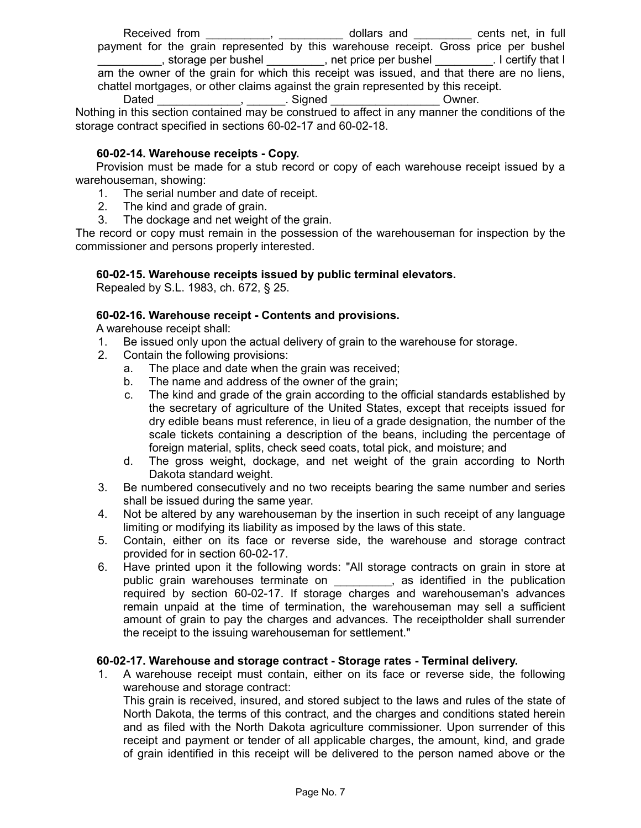Received from \_\_\_\_\_\_\_\_\_, \_\_\_\_\_\_\_\_\_\_ dollars and \_\_\_\_\_\_\_\_\_ cents net, in full payment for the grain represented by this warehouse receipt. Gross price per bushel \_\_\_\_\_\_\_\_\_\_, storage per bushel \_\_\_\_\_\_\_\_\_, net price per bushel \_\_\_\_\_\_\_\_\_. I certify that I am the owner of the grain for which this receipt was issued, and that there are no liens, chattel mortgages, or other claims against the grain represented by this receipt. Dated Figure 2. Signed Compared Compared Compared Compared Compared Compared Compared Compared Compared Compare

Nothing in this section contained may be construed to affect in any manner the conditions of the storage contract specified in sections 60-02-17 and 60-02-18.

# **60-02-14. Warehouse receipts - Copy.**

Provision must be made for a stub record or copy of each warehouse receipt issued by a warehouseman, showing:

- 1. The serial number and date of receipt.
- 2. The kind and grade of grain.
- 3. The dockage and net weight of the grain.

The record or copy must remain in the possession of the warehouseman for inspection by the commissioner and persons properly interested.

# **60-02-15. Warehouse receipts issued by public terminal elevators.**

Repealed by S.L. 1983, ch. 672, § 25.

# **60-02-16. Warehouse receipt - Contents and provisions.**

A warehouse receipt shall:

- 1. Be issued only upon the actual delivery of grain to the warehouse for storage.
- 2. Contain the following provisions:
	- a. The place and date when the grain was received;
	- b. The name and address of the owner of the grain;
	- c. The kind and grade of the grain according to the official standards established by the secretary of agriculture of the United States, except that receipts issued for dry edible beans must reference, in lieu of a grade designation, the number of the scale tickets containing a description of the beans, including the percentage of foreign material, splits, check seed coats, total pick, and moisture; and
	- d. The gross weight, dockage, and net weight of the grain according to North Dakota standard weight.
- 3. Be numbered consecutively and no two receipts bearing the same number and series shall be issued during the same year.
- 4. Not be altered by any warehouseman by the insertion in such receipt of any language limiting or modifying its liability as imposed by the laws of this state.
- 5. Contain, either on its face or reverse side, the warehouse and storage contract provided for in section 60-02-17.
- 6. Have printed upon it the following words: "All storage contracts on grain in store at public grain warehouses terminate on \_\_\_\_\_\_\_\_, as identified in the publication required by section 60-02-17. If storage charges and warehouseman's advances remain unpaid at the time of termination, the warehouseman may sell a sufficient amount of grain to pay the charges and advances. The receiptholder shall surrender the receipt to the issuing warehouseman for settlement."

#### **60-02-17. Warehouse and storage contract - Storage rates - Terminal delivery.**

1. A warehouse receipt must contain, either on its face or reverse side, the following warehouse and storage contract:

This grain is received, insured, and stored subject to the laws and rules of the state of North Dakota, the terms of this contract, and the charges and conditions stated herein and as filed with the North Dakota agriculture commissioner. Upon surrender of this receipt and payment or tender of all applicable charges, the amount, kind, and grade of grain identified in this receipt will be delivered to the person named above or the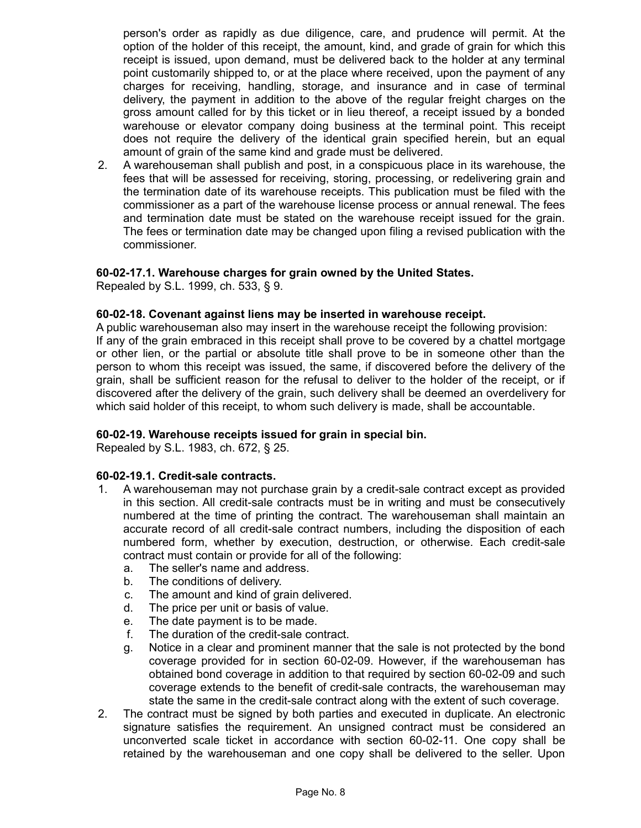person's order as rapidly as due diligence, care, and prudence will permit. At the option of the holder of this receipt, the amount, kind, and grade of grain for which this receipt is issued, upon demand, must be delivered back to the holder at any terminal point customarily shipped to, or at the place where received, upon the payment of any charges for receiving, handling, storage, and insurance and in case of terminal delivery, the payment in addition to the above of the regular freight charges on the gross amount called for by this ticket or in lieu thereof, a receipt issued by a bonded warehouse or elevator company doing business at the terminal point. This receipt does not require the delivery of the identical grain specified herein, but an equal amount of grain of the same kind and grade must be delivered.

2. A warehouseman shall publish and post, in a conspicuous place in its warehouse, the fees that will be assessed for receiving, storing, processing, or redelivering grain and the termination date of its warehouse receipts. This publication must be filed with the commissioner as a part of the warehouse license process or annual renewal. The fees and termination date must be stated on the warehouse receipt issued for the grain. The fees or termination date may be changed upon filing a revised publication with the commissioner.

#### **60-02-17.1. Warehouse charges for grain owned by the United States.**

Repealed by S.L. 1999, ch. 533, § 9.

## **60-02-18. Covenant against liens may be inserted in warehouse receipt.**

A public warehouseman also may insert in the warehouse receipt the following provision: If any of the grain embraced in this receipt shall prove to be covered by a chattel mortgage or other lien, or the partial or absolute title shall prove to be in someone other than the person to whom this receipt was issued, the same, if discovered before the delivery of the grain, shall be sufficient reason for the refusal to deliver to the holder of the receipt, or if discovered after the delivery of the grain, such delivery shall be deemed an overdelivery for which said holder of this receipt, to whom such delivery is made, shall be accountable.

#### **60-02-19. Warehouse receipts issued for grain in special bin.**

Repealed by S.L. 1983, ch. 672, § 25.

#### **60-02-19.1. Credit-sale contracts.**

- 1. A warehouseman may not purchase grain by a credit-sale contract except as provided in this section. All credit-sale contracts must be in writing and must be consecutively numbered at the time of printing the contract. The warehouseman shall maintain an accurate record of all credit-sale contract numbers, including the disposition of each numbered form, whether by execution, destruction, or otherwise. Each credit-sale contract must contain or provide for all of the following:
	- a. The seller's name and address.
	- b. The conditions of delivery.
	- c. The amount and kind of grain delivered.
	- d. The price per unit or basis of value.
	- e. The date payment is to be made.
	- f. The duration of the credit-sale contract.
	- g. Notice in a clear and prominent manner that the sale is not protected by the bond coverage provided for in section 60-02-09. However, if the warehouseman has obtained bond coverage in addition to that required by section 60-02-09 and such coverage extends to the benefit of credit-sale contracts, the warehouseman may state the same in the credit-sale contract along with the extent of such coverage.
- 2. The contract must be signed by both parties and executed in duplicate. An electronic signature satisfies the requirement. An unsigned contract must be considered an unconverted scale ticket in accordance with section 60-02-11. One copy shall be retained by the warehouseman and one copy shall be delivered to the seller. Upon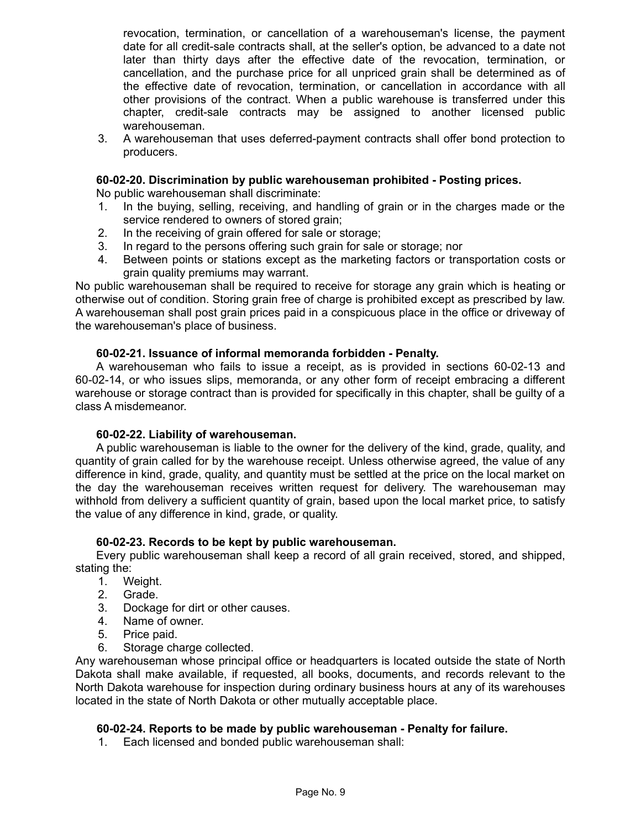revocation, termination, or cancellation of a warehouseman's license, the payment date for all credit-sale contracts shall, at the seller's option, be advanced to a date not later than thirty days after the effective date of the revocation, termination, or cancellation, and the purchase price for all unpriced grain shall be determined as of the effective date of revocation, termination, or cancellation in accordance with all other provisions of the contract. When a public warehouse is transferred under this chapter, credit-sale contracts may be assigned to another licensed public warehouseman.

3. A warehouseman that uses deferred-payment contracts shall offer bond protection to producers.

## **60-02-20. Discrimination by public warehouseman prohibited - Posting prices.**

No public warehouseman shall discriminate:

- 1. In the buying, selling, receiving, and handling of grain or in the charges made or the service rendered to owners of stored grain;
- 2. In the receiving of grain offered for sale or storage;
- 3. In regard to the persons offering such grain for sale or storage; nor
- 4. Between points or stations except as the marketing factors or transportation costs or grain quality premiums may warrant.

No public warehouseman shall be required to receive for storage any grain which is heating or otherwise out of condition. Storing grain free of charge is prohibited except as prescribed by law. A warehouseman shall post grain prices paid in a conspicuous place in the office or driveway of the warehouseman's place of business.

#### **60-02-21. Issuance of informal memoranda forbidden - Penalty.**

A warehouseman who fails to issue a receipt, as is provided in sections 60-02-13 and 60-02-14, or who issues slips, memoranda, or any other form of receipt embracing a different warehouse or storage contract than is provided for specifically in this chapter, shall be guilty of a class A misdemeanor.

#### **60-02-22. Liability of warehouseman.**

A public warehouseman is liable to the owner for the delivery of the kind, grade, quality, and quantity of grain called for by the warehouse receipt. Unless otherwise agreed, the value of any difference in kind, grade, quality, and quantity must be settled at the price on the local market on the day the warehouseman receives written request for delivery. The warehouseman may withhold from delivery a sufficient quantity of grain, based upon the local market price, to satisfy the value of any difference in kind, grade, or quality.

# **60-02-23. Records to be kept by public warehouseman.**

Every public warehouseman shall keep a record of all grain received, stored, and shipped, stating the:

- 1. Weight.
- 2. Grade.
- 3. Dockage for dirt or other causes.
- 4. Name of owner.
- 5. Price paid.
- 6. Storage charge collected.

Any warehouseman whose principal office or headquarters is located outside the state of North Dakota shall make available, if requested, all books, documents, and records relevant to the North Dakota warehouse for inspection during ordinary business hours at any of its warehouses located in the state of North Dakota or other mutually acceptable place.

#### **60-02-24. Reports to be made by public warehouseman - Penalty for failure.**

1. Each licensed and bonded public warehouseman shall: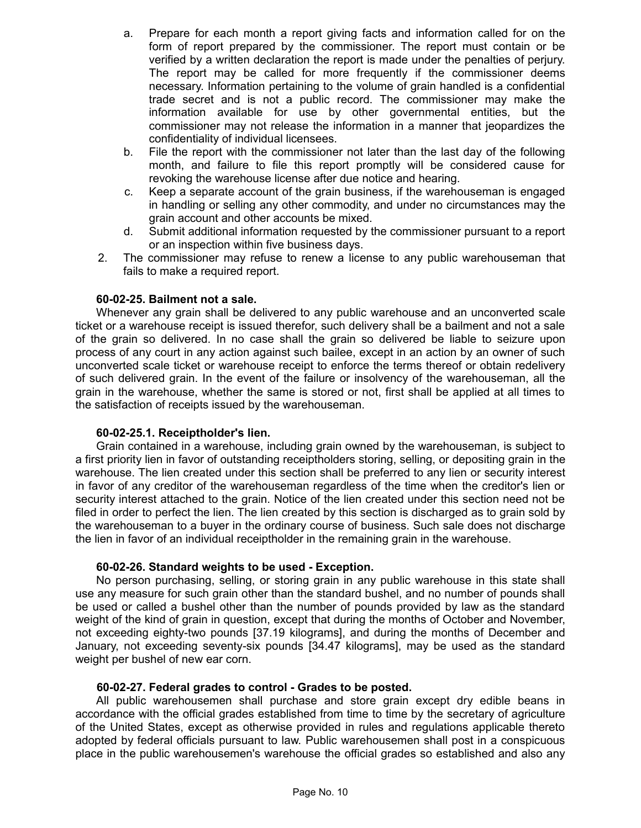- a. Prepare for each month a report giving facts and information called for on the form of report prepared by the commissioner. The report must contain or be verified by a written declaration the report is made under the penalties of perjury. The report may be called for more frequently if the commissioner deems necessary. Information pertaining to the volume of grain handled is a confidential trade secret and is not a public record. The commissioner may make the information available for use by other governmental entities, but the commissioner may not release the information in a manner that jeopardizes the confidentiality of individual licensees.
- b. File the report with the commissioner not later than the last day of the following month, and failure to file this report promptly will be considered cause for revoking the warehouse license after due notice and hearing.
- c. Keep a separate account of the grain business, if the warehouseman is engaged in handling or selling any other commodity, and under no circumstances may the grain account and other accounts be mixed.
- d. Submit additional information requested by the commissioner pursuant to a report or an inspection within five business days.
- 2. The commissioner may refuse to renew a license to any public warehouseman that fails to make a required report.

# **60-02-25. Bailment not a sale.**

Whenever any grain shall be delivered to any public warehouse and an unconverted scale ticket or a warehouse receipt is issued therefor, such delivery shall be a bailment and not a sale of the grain so delivered. In no case shall the grain so delivered be liable to seizure upon process of any court in any action against such bailee, except in an action by an owner of such unconverted scale ticket or warehouse receipt to enforce the terms thereof or obtain redelivery of such delivered grain. In the event of the failure or insolvency of the warehouseman, all the grain in the warehouse, whether the same is stored or not, first shall be applied at all times to the satisfaction of receipts issued by the warehouseman.

#### **60-02-25.1. Receiptholder's lien.**

Grain contained in a warehouse, including grain owned by the warehouseman, is subject to a first priority lien in favor of outstanding receiptholders storing, selling, or depositing grain in the warehouse. The lien created under this section shall be preferred to any lien or security interest in favor of any creditor of the warehouseman regardless of the time when the creditor's lien or security interest attached to the grain. Notice of the lien created under this section need not be filed in order to perfect the lien. The lien created by this section is discharged as to grain sold by the warehouseman to a buyer in the ordinary course of business. Such sale does not discharge the lien in favor of an individual receiptholder in the remaining grain in the warehouse.

#### **60-02-26. Standard weights to be used - Exception.**

No person purchasing, selling, or storing grain in any public warehouse in this state shall use any measure for such grain other than the standard bushel, and no number of pounds shall be used or called a bushel other than the number of pounds provided by law as the standard weight of the kind of grain in question, except that during the months of October and November, not exceeding eighty-two pounds [37.19 kilograms], and during the months of December and January, not exceeding seventy-six pounds [34.47 kilograms], may be used as the standard weight per bushel of new ear corn.

#### **60-02-27. Federal grades to control - Grades to be posted.**

All public warehousemen shall purchase and store grain except dry edible beans in accordance with the official grades established from time to time by the secretary of agriculture of the United States, except as otherwise provided in rules and regulations applicable thereto adopted by federal officials pursuant to law. Public warehousemen shall post in a conspicuous place in the public warehousemen's warehouse the official grades so established and also any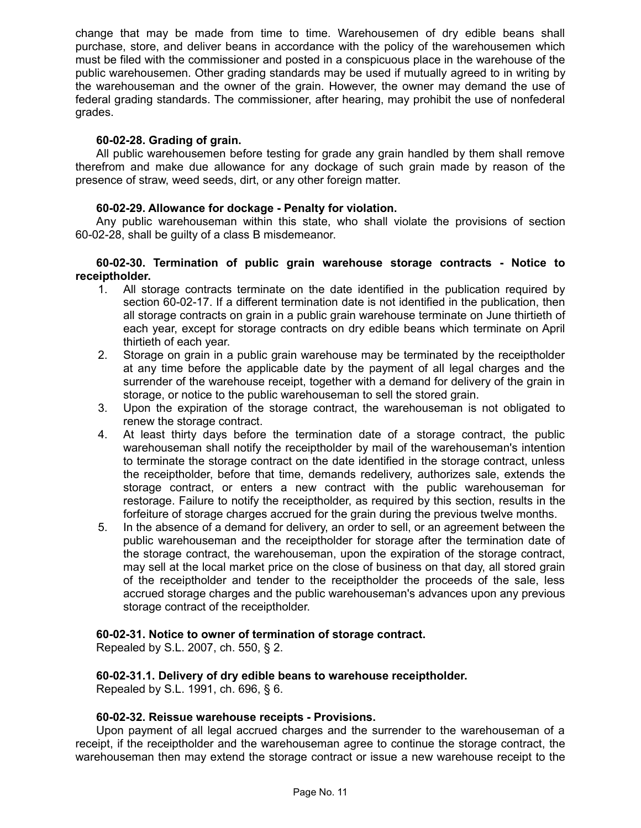change that may be made from time to time. Warehousemen of dry edible beans shall purchase, store, and deliver beans in accordance with the policy of the warehousemen which must be filed with the commissioner and posted in a conspicuous place in the warehouse of the public warehousemen. Other grading standards may be used if mutually agreed to in writing by the warehouseman and the owner of the grain. However, the owner may demand the use of federal grading standards. The commissioner, after hearing, may prohibit the use of nonfederal grades.

## **60-02-28. Grading of grain.**

All public warehousemen before testing for grade any grain handled by them shall remove therefrom and make due allowance for any dockage of such grain made by reason of the presence of straw, weed seeds, dirt, or any other foreign matter.

## **60-02-29. Allowance for dockage - Penalty for violation.**

Any public warehouseman within this state, who shall violate the provisions of section 60-02-28, shall be guilty of a class B misdemeanor.

### **60-02-30. Termination of public grain warehouse storage contracts - Notice to receiptholder.**

- 1. All storage contracts terminate on the date identified in the publication required by section 60-02-17. If a different termination date is not identified in the publication, then all storage contracts on grain in a public grain warehouse terminate on June thirtieth of each year, except for storage contracts on dry edible beans which terminate on April thirtieth of each year.
- 2. Storage on grain in a public grain warehouse may be terminated by the receiptholder at any time before the applicable date by the payment of all legal charges and the surrender of the warehouse receipt, together with a demand for delivery of the grain in storage, or notice to the public warehouseman to sell the stored grain.
- 3. Upon the expiration of the storage contract, the warehouseman is not obligated to renew the storage contract.
- 4. At least thirty days before the termination date of a storage contract, the public warehouseman shall notify the receiptholder by mail of the warehouseman's intention to terminate the storage contract on the date identified in the storage contract, unless the receiptholder, before that time, demands redelivery, authorizes sale, extends the storage contract, or enters a new contract with the public warehouseman for restorage. Failure to notify the receiptholder, as required by this section, results in the forfeiture of storage charges accrued for the grain during the previous twelve months.
- 5. In the absence of a demand for delivery, an order to sell, or an agreement between the public warehouseman and the receiptholder for storage after the termination date of the storage contract, the warehouseman, upon the expiration of the storage contract, may sell at the local market price on the close of business on that day, all stored grain of the receiptholder and tender to the receiptholder the proceeds of the sale, less accrued storage charges and the public warehouseman's advances upon any previous storage contract of the receiptholder.

#### **60-02-31. Notice to owner of termination of storage contract.**

Repealed by S.L. 2007, ch. 550, § 2.

#### **60-02-31.1. Delivery of dry edible beans to warehouse receiptholder.** Repealed by S.L. 1991, ch. 696, § 6.

#### **60-02-32. Reissue warehouse receipts - Provisions.**

Upon payment of all legal accrued charges and the surrender to the warehouseman of a receipt, if the receiptholder and the warehouseman agree to continue the storage contract, the warehouseman then may extend the storage contract or issue a new warehouse receipt to the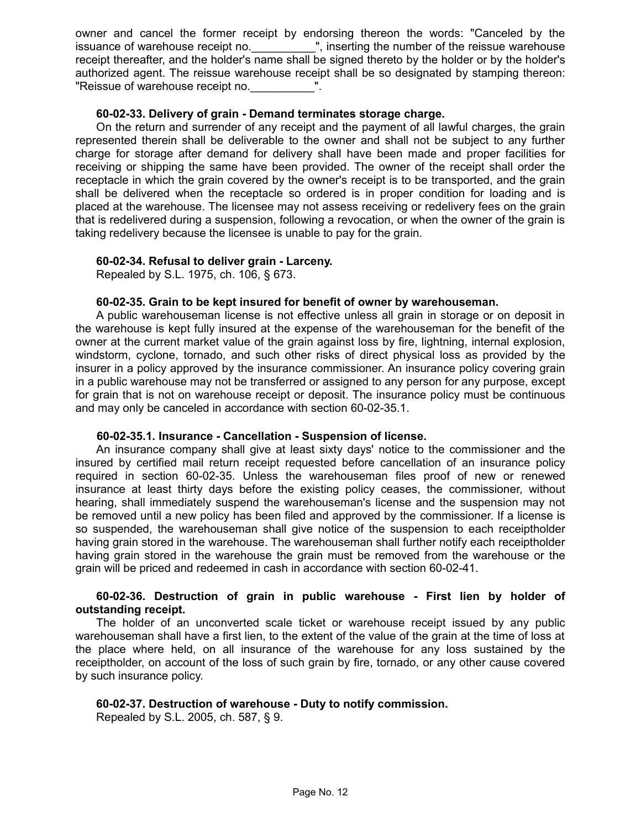owner and cancel the former receipt by endorsing thereon the words: "Canceled by the issuance of warehouse receipt no. \_\_\_\_\_\_\_\_\_", inserting the number of the reissue warehouse receipt thereafter, and the holder's name shall be signed thereto by the holder or by the holder's authorized agent. The reissue warehouse receipt shall be so designated by stamping thereon: "Reissue of warehouse receipt no.

### **60-02-33. Delivery of grain - Demand terminates storage charge.**

On the return and surrender of any receipt and the payment of all lawful charges, the grain represented therein shall be deliverable to the owner and shall not be subject to any further charge for storage after demand for delivery shall have been made and proper facilities for receiving or shipping the same have been provided. The owner of the receipt shall order the receptacle in which the grain covered by the owner's receipt is to be transported, and the grain shall be delivered when the receptacle so ordered is in proper condition for loading and is placed at the warehouse. The licensee may not assess receiving or redelivery fees on the grain that is redelivered during a suspension, following a revocation, or when the owner of the grain is taking redelivery because the licensee is unable to pay for the grain.

#### **60-02-34. Refusal to deliver grain - Larceny.**

Repealed by S.L. 1975, ch. 106, § 673.

#### **60-02-35. Grain to be kept insured for benefit of owner by warehouseman.**

A public warehouseman license is not effective unless all grain in storage or on deposit in the warehouse is kept fully insured at the expense of the warehouseman for the benefit of the owner at the current market value of the grain against loss by fire, lightning, internal explosion, windstorm, cyclone, tornado, and such other risks of direct physical loss as provided by the insurer in a policy approved by the insurance commissioner. An insurance policy covering grain in a public warehouse may not be transferred or assigned to any person for any purpose, except for grain that is not on warehouse receipt or deposit. The insurance policy must be continuous and may only be canceled in accordance with section 60-02-35.1.

#### **60-02-35.1. Insurance - Cancellation - Suspension of license.**

An insurance company shall give at least sixty days' notice to the commissioner and the insured by certified mail return receipt requested before cancellation of an insurance policy required in section 60-02-35. Unless the warehouseman files proof of new or renewed insurance at least thirty days before the existing policy ceases, the commissioner, without hearing, shall immediately suspend the warehouseman's license and the suspension may not be removed until a new policy has been filed and approved by the commissioner. If a license is so suspended, the warehouseman shall give notice of the suspension to each receiptholder having grain stored in the warehouse. The warehouseman shall further notify each receiptholder having grain stored in the warehouse the grain must be removed from the warehouse or the grain will be priced and redeemed in cash in accordance with section 60-02-41.

#### **60-02-36. Destruction of grain in public warehouse - First lien by holder of outstanding receipt.**

The holder of an unconverted scale ticket or warehouse receipt issued by any public warehouseman shall have a first lien, to the extent of the value of the grain at the time of loss at the place where held, on all insurance of the warehouse for any loss sustained by the receiptholder, on account of the loss of such grain by fire, tornado, or any other cause covered by such insurance policy.

#### **60-02-37. Destruction of warehouse - Duty to notify commission.**

Repealed by S.L. 2005, ch. 587, § 9.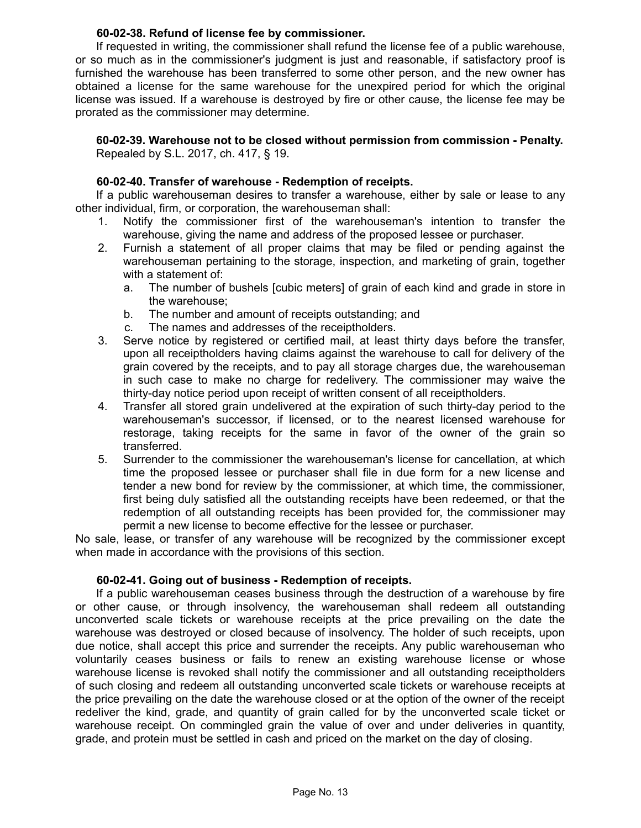## **60-02-38. Refund of license fee by commissioner.**

If requested in writing, the commissioner shall refund the license fee of a public warehouse, or so much as in the commissioner's judgment is just and reasonable, if satisfactory proof is furnished the warehouse has been transferred to some other person, and the new owner has obtained a license for the same warehouse for the unexpired period for which the original license was issued. If a warehouse is destroyed by fire or other cause, the license fee may be prorated as the commissioner may determine.

## **60-02-39. Warehouse not to be closed without permission from commission - Penalty.** Repealed by S.L. 2017, ch. 417, § 19.

## **60-02-40. Transfer of warehouse - Redemption of receipts.**

If a public warehouseman desires to transfer a warehouse, either by sale or lease to any other individual, firm, or corporation, the warehouseman shall:

- 1. Notify the commissioner first of the warehouseman's intention to transfer the warehouse, giving the name and address of the proposed lessee or purchaser.
- 2. Furnish a statement of all proper claims that may be filed or pending against the warehouseman pertaining to the storage, inspection, and marketing of grain, together with a statement of:
	- a. The number of bushels [cubic meters] of grain of each kind and grade in store in the warehouse;
	- b. The number and amount of receipts outstanding; and
	- c. The names and addresses of the receiptholders.
- 3. Serve notice by registered or certified mail, at least thirty days before the transfer, upon all receiptholders having claims against the warehouse to call for delivery of the grain covered by the receipts, and to pay all storage charges due, the warehouseman in such case to make no charge for redelivery. The commissioner may waive the thirty-day notice period upon receipt of written consent of all receiptholders.
- 4. Transfer all stored grain undelivered at the expiration of such thirty-day period to the warehouseman's successor, if licensed, or to the nearest licensed warehouse for restorage, taking receipts for the same in favor of the owner of the grain so transferred.
- 5. Surrender to the commissioner the warehouseman's license for cancellation, at which time the proposed lessee or purchaser shall file in due form for a new license and tender a new bond for review by the commissioner, at which time, the commissioner, first being duly satisfied all the outstanding receipts have been redeemed, or that the redemption of all outstanding receipts has been provided for, the commissioner may permit a new license to become effective for the lessee or purchaser.

No sale, lease, or transfer of any warehouse will be recognized by the commissioner except when made in accordance with the provisions of this section.

#### **60-02-41. Going out of business - Redemption of receipts.**

If a public warehouseman ceases business through the destruction of a warehouse by fire or other cause, or through insolvency, the warehouseman shall redeem all outstanding unconverted scale tickets or warehouse receipts at the price prevailing on the date the warehouse was destroyed or closed because of insolvency. The holder of such receipts, upon due notice, shall accept this price and surrender the receipts. Any public warehouseman who voluntarily ceases business or fails to renew an existing warehouse license or whose warehouse license is revoked shall notify the commissioner and all outstanding receiptholders of such closing and redeem all outstanding unconverted scale tickets or warehouse receipts at the price prevailing on the date the warehouse closed or at the option of the owner of the receipt redeliver the kind, grade, and quantity of grain called for by the unconverted scale ticket or warehouse receipt. On commingled grain the value of over and under deliveries in quantity, grade, and protein must be settled in cash and priced on the market on the day of closing.